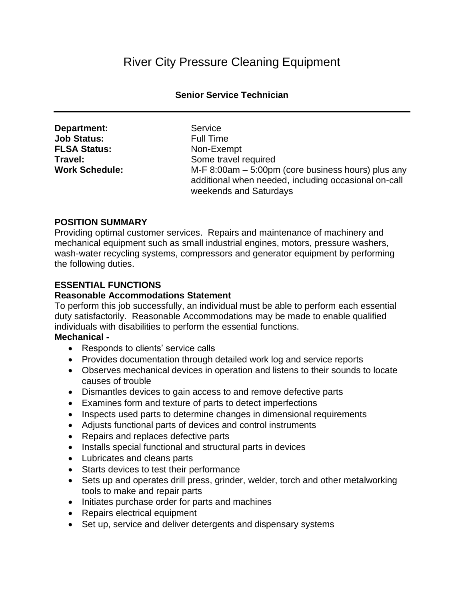# River City Pressure Cleaning Equipment

#### **Senior Service Technician**

| Department:           |
|-----------------------|
| <b>Job Status:</b>    |
| <b>FLSA Status:</b>   |
| Travel:               |
| <b>Work Schedule:</b> |

Service: **Full Time Non-Exempt** Some travel required M-F 8:00am - 5:00pm (core business hours) plus any additional when needed, including occasional on-call weekends and Saturdays

### **POSITION SUMMARY**

Providing optimal customer services. Repairs and maintenance of machinery and mechanical equipment such as small industrial engines, motors, pressure washers, wash-water recycling systems, compressors and generator equipment by performing the following duties.

### **ESSENTIAL FUNCTIONS**

#### **Reasonable Accommodations Statement**

To perform this job successfully, an individual must be able to perform each essential duty satisfactorily. Reasonable Accommodations may be made to enable qualified individuals with disabilities to perform the essential functions.

### **Mechanical -**

- Responds to clients' service calls
- Provides documentation through detailed work log and service reports
- Observes mechanical devices in operation and listens to their sounds to locate causes of trouble
- Dismantles devices to gain access to and remove defective parts
- Examines form and texture of parts to detect imperfections
- Inspects used parts to determine changes in dimensional requirements
- Adjusts functional parts of devices and control instruments
- Repairs and replaces defective parts
- Installs special functional and structural parts in devices
- Lubricates and cleans parts
- Starts devices to test their performance
- Sets up and operates drill press, grinder, welder, torch and other metalworking tools to make and repair parts
- Initiates purchase order for parts and machines
- Repairs electrical equipment
- Set up, service and deliver detergents and dispensary systems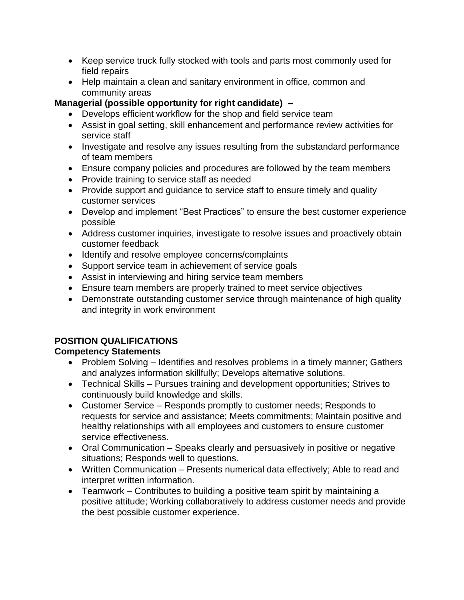- Keep service truck fully stocked with tools and parts most commonly used for field repairs
- Help maintain a clean and sanitary environment in office, common and community areas

# **Managerial (possible opportunity for right candidate) –**

- Develops efficient workflow for the shop and field service team
- Assist in goal setting, skill enhancement and performance review activities for service staff
- Investigate and resolve any issues resulting from the substandard performance of team members
- Ensure company policies and procedures are followed by the team members
- Provide training to service staff as needed
- Provide support and guidance to service staff to ensure timely and quality customer services
- Develop and implement "Best Practices" to ensure the best customer experience possible
- Address customer inquiries, investigate to resolve issues and proactively obtain customer feedback
- Identify and resolve employee concerns/complaints
- Support service team in achievement of service goals
- Assist in interviewing and hiring service team members
- Ensure team members are properly trained to meet service objectives
- Demonstrate outstanding customer service through maintenance of high quality and integrity in work environment

# **POSITION QUALIFICATIONS**

# **Competency Statements**

- Problem Solving Identifies and resolves problems in a timely manner; Gathers and analyzes information skillfully; Develops alternative solutions.
- Technical Skills Pursues training and development opportunities; Strives to continuously build knowledge and skills.
- Customer Service Responds promptly to customer needs; Responds to requests for service and assistance; Meets commitments; Maintain positive and healthy relationships with all employees and customers to ensure customer service effectiveness.
- Oral Communication Speaks clearly and persuasively in positive or negative situations; Responds well to questions.
- Written Communication Presents numerical data effectively; Able to read and interpret written information.
- Teamwork Contributes to building a positive team spirit by maintaining a positive attitude; Working collaboratively to address customer needs and provide the best possible customer experience.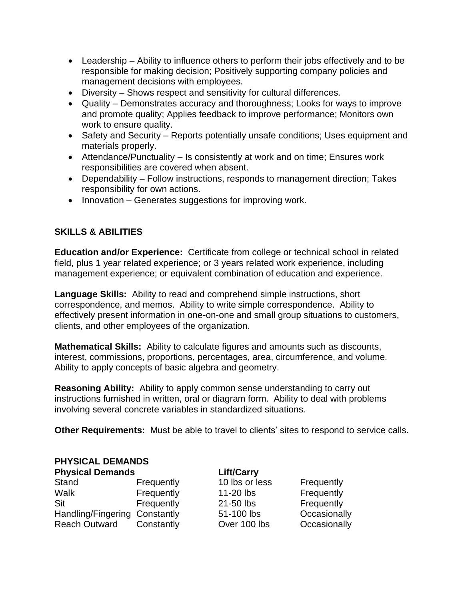- Leadership Ability to influence others to perform their jobs effectively and to be responsible for making decision; Positively supporting company policies and management decisions with employees.
- Diversity Shows respect and sensitivity for cultural differences.
- Quality Demonstrates accuracy and thoroughness; Looks for ways to improve and promote quality; Applies feedback to improve performance; Monitors own work to ensure quality.
- Safety and Security Reports potentially unsafe conditions; Uses equipment and materials properly.
- Attendance/Punctuality Is consistently at work and on time; Ensures work responsibilities are covered when absent.
- Dependability Follow instructions, responds to management direction; Takes responsibility for own actions.
- Innovation Generates suggestions for improving work.

### **SKILLS & ABILITIES**

**Education and/or Experience:** Certificate from college or technical school in related field, plus 1 year related experience; or 3 years related work experience, including management experience; or equivalent combination of education and experience.

**Language Skills:** Ability to read and comprehend simple instructions, short correspondence, and memos. Ability to write simple correspondence. Ability to effectively present information in one-on-one and small group situations to customers, clients, and other employees of the organization.

**Mathematical Skills:** Ability to calculate figures and amounts such as discounts, interest, commissions, proportions, percentages, area, circumference, and volume. Ability to apply concepts of basic algebra and geometry.

**Reasoning Ability:** Ability to apply common sense understanding to carry out instructions furnished in written, oral or diagram form. Ability to deal with problems involving several concrete variables in standardized situations.

**Other Requirements:** Must be able to travel to clients' sites to respond to service calls.

| <b>PHYSICAL DEMANDS</b>       |                |                   |  |  |
|-------------------------------|----------------|-------------------|--|--|
| <b>Physical Demands</b>       |                |                   |  |  |
| Frequently                    | 10 lbs or less | Frequently        |  |  |
| Frequently                    | 11-20 lbs      | Frequently        |  |  |
| Frequently                    | 21-50 lbs      | Frequently        |  |  |
| Handling/Fingering Constantly | 51-100 lbs     | Occasionally      |  |  |
| Constantly                    | Over 100 lbs   | Occasionally      |  |  |
|                               |                | <b>Lift/Carry</b> |  |  |